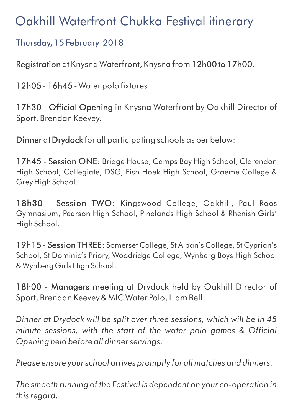# Oakhill Waterfront Chukka Festival itinerary

## Thursday, 15 February 2018

Registration at Knysna Waterfront, Knysna from 12h00 to 17h00.

12h05 - 16h45 - Water polo fixtures

17h30 - Official Opening in Knysna Waterfront by Oakhill Director of Sport, Brendan Keevey.

Dinner at Drydock for all participating schools as per below:

17h45 - Session ONE: Bridge House, Camps Bay High School, Clarendon High School, Collegiate, DSG, Fish Hoek High School, Graeme College & Grey High School.

18h30 - Session TWO: Kingswood College, Oakhill, Paul Roos Gymnasium, Pearson High School, Pinelands High School & Rhenish Girls' High School.

19h15 - Session THREE: Somerset College, St Alban's College, St Cyprian's School, St Dominic's Priory, Woodridge College, Wynberg Boys High School & Wynberg Girls High School.

18h00 - Managers meeting at Drydock held by Oakhill Director of Sport, Brendan Keevey & MIC Water Polo, Liam Bell.

*Dinner at Drydock will be split over three sessions, which will be in 45 minute sessions, with the start of the water polo games & Official Opening held before all dinner servings.*

*Please ensure your school arrives promptly for all matches and dinners.*

*The smooth running of the Festival is dependent on your co-operation in this regard.*